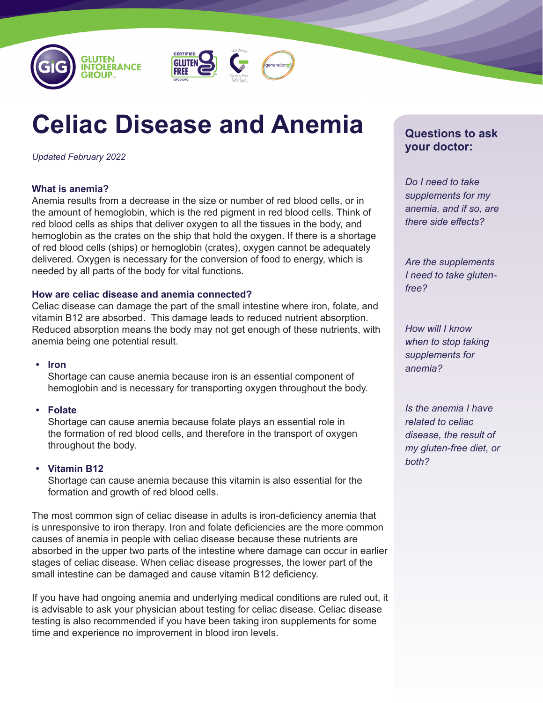



# **Celiac Disease and Anemia**

*Updated February 2022*

# **What is anemia?**

Anemia results from a decrease in the size or number of red blood cells, or in the amount of hemoglobin, which is the red pigment in red blood cells. Think of red blood cells as ships that deliver oxygen to all the tissues in the body, and hemoglobin as the crates on the ship that hold the oxygen. If there is a shortage of red blood cells (ships) or hemoglobin (crates), oxygen cannot be adequately delivered. Oxygen is necessary for the conversion of food to energy, which is needed by all parts of the body for vital functions.

# **How are celiac disease and anemia connected?**

Celiac disease can damage the part of the small intestine where iron, folate, and vitamin B12 are absorbed. This damage leads to reduced nutrient absorption. Reduced absorption means the body may not get enough of these nutrients, with anemia being one potential result.

## **• Iron**

Shortage can cause anemia because iron is an essential component of hemoglobin and is necessary for transporting oxygen throughout the body.

# **• Folate**

Shortage can cause anemia because folate plays an essential role in the formation of red blood cells, and therefore in the transport of oxygen throughout the body.

## **• Vitamin B12**

Shortage can cause anemia because this vitamin is also essential for the formation and growth of red blood cells.

The most common sign of celiac disease in adults is iron-deficiency anemia that is unresponsive to iron therapy. Iron and folate deficiencies are the more common causes of anemia in people with celiac disease because these nutrients are absorbed in the upper two parts of the intestine where damage can occur in earlier stages of celiac disease. When celiac disease progresses, the lower part of the small intestine can be damaged and cause vitamin B12 deficiency.

If you have had ongoing anemia and underlying medical conditions are ruled out, it is advisable to ask your physician about testing for celiac disease. Celiac disease testing is also recommended if you have been taking iron supplements for some time and experience no improvement in blood iron levels.

# **Questions to ask your doctor:**

*Do I need to take supplements for my anemia, and if so, are there side effects?*

*Are the supplements I need to take glutenfree?*

*How will I know when to stop taking supplements for anemia?*

*Is the anemia I have related to celiac disease, the result of my gluten-free diet, or both?*